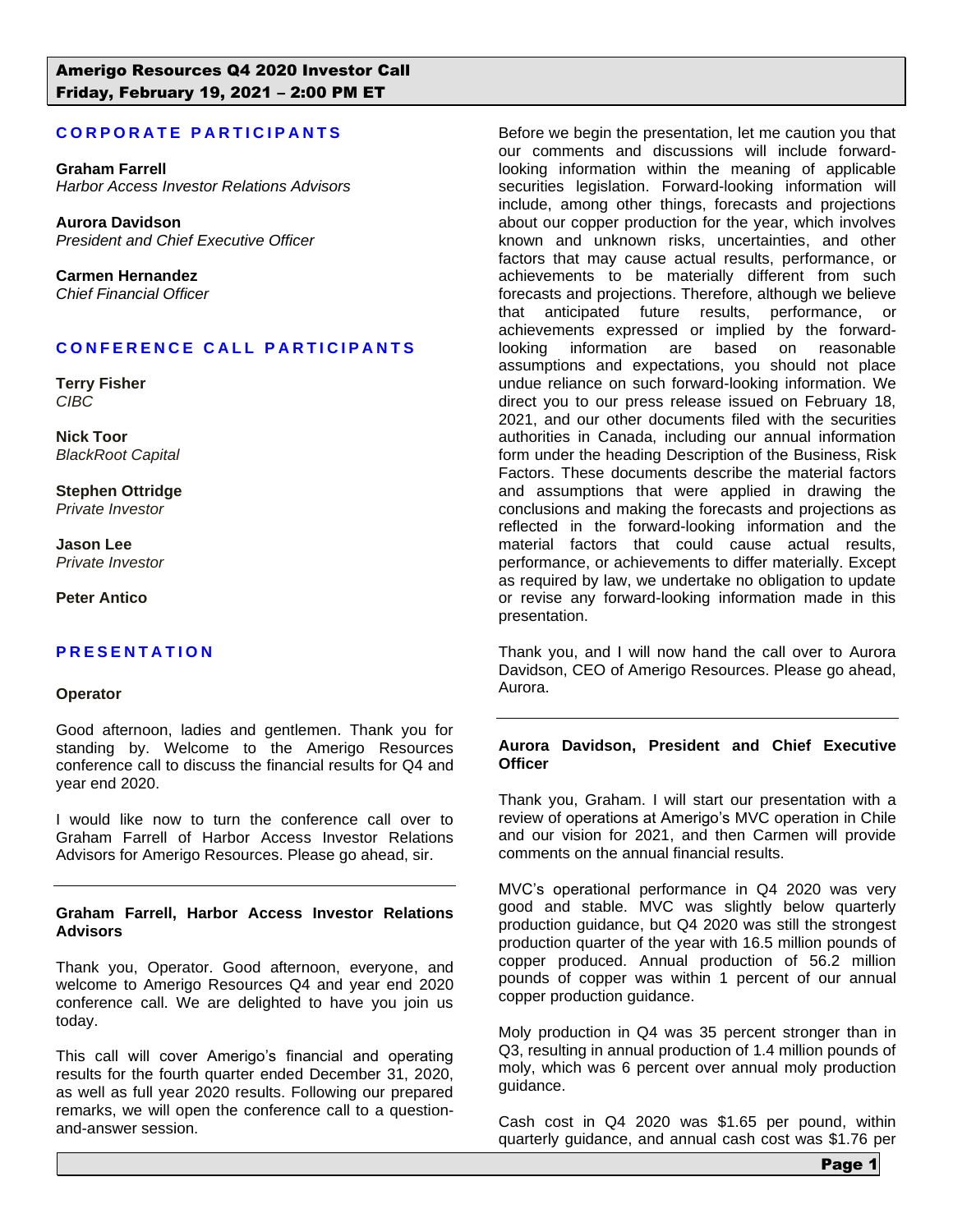# **CORPORATE PARTICIPANTS**

**Graham Farrell** *Harbor Access Investor Relations Advisors*

**Aurora Davidson** *President and Chief Executive Officer*

**Carmen Hernandez** *Chief Financial Officer*

## **CONFERENCE CALL PARTICIPANTS**

**Terry Fisher** *CIBC*

**Nick Toor** *BlackRoot Capital*

**Stephen Ottridge** *Private Investor*

**Jason Lee** *Private Investor*

**Peter Antico**

### **P R E S E N T A T I O N**

#### **Operator**

Good afternoon, ladies and gentlemen. Thank you for standing by. Welcome to the Amerigo Resources conference call to discuss the financial results for Q4 and year end 2020.

I would like now to turn the conference call over to Graham Farrell of Harbor Access Investor Relations Advisors for Amerigo Resources. Please go ahead, sir.

#### **Graham Farrell, Harbor Access Investor Relations Advisors**

Thank you, Operator. Good afternoon, everyone, and welcome to Amerigo Resources Q4 and year end 2020 conference call. We are delighted to have you join us today.

This call will cover Amerigo's financial and operating results for the fourth quarter ended December 31, 2020, as well as full year 2020 results. Following our prepared remarks, we will open the conference call to a questionand-answer session.

Before we begin the presentation, let me caution you that our comments and discussions will include forwardlooking information within the meaning of applicable securities legislation. Forward-looking information will include, among other things, forecasts and projections about our copper production for the year, which involves known and unknown risks, uncertainties, and other factors that may cause actual results, performance, or achievements to be materially different from such forecasts and projections. Therefore, although we believe that anticipated future results, performance, or achievements expressed or implied by the forwardlooking information are based on reasonable assumptions and expectations, you should not place undue reliance on such forward-looking information. We direct you to our press release issued on February 18, 2021, and our other documents filed with the securities authorities in Canada, including our annual information form under the heading Description of the Business, Risk Factors. These documents describe the material factors and assumptions that were applied in drawing the conclusions and making the forecasts and projections as reflected in the forward-looking information and the material factors that could cause actual results, performance, or achievements to differ materially. Except as required by law, we undertake no obligation to update or revise any forward-looking information made in this presentation.

Thank you, and I will now hand the call over to Aurora Davidson, CEO of Amerigo Resources. Please go ahead, Aurora.

#### **Aurora Davidson, President and Chief Executive Officer**

Thank you, Graham. I will start our presentation with a review of operations at Amerigo's MVC operation in Chile and our vision for 2021, and then Carmen will provide comments on the annual financial results.

MVC's operational performance in Q4 2020 was very good and stable. MVC was slightly below quarterly production guidance, but Q4 2020 was still the strongest production quarter of the year with 16.5 million pounds of copper produced. Annual production of 56.2 million pounds of copper was within 1 percent of our annual copper production guidance.

Moly production in Q4 was 35 percent stronger than in Q3, resulting in annual production of 1.4 million pounds of moly, which was 6 percent over annual moly production guidance.

Cash cost in Q4 2020 was \$1.65 per pound, within quarterly guidance, and annual cash cost was \$1.76 per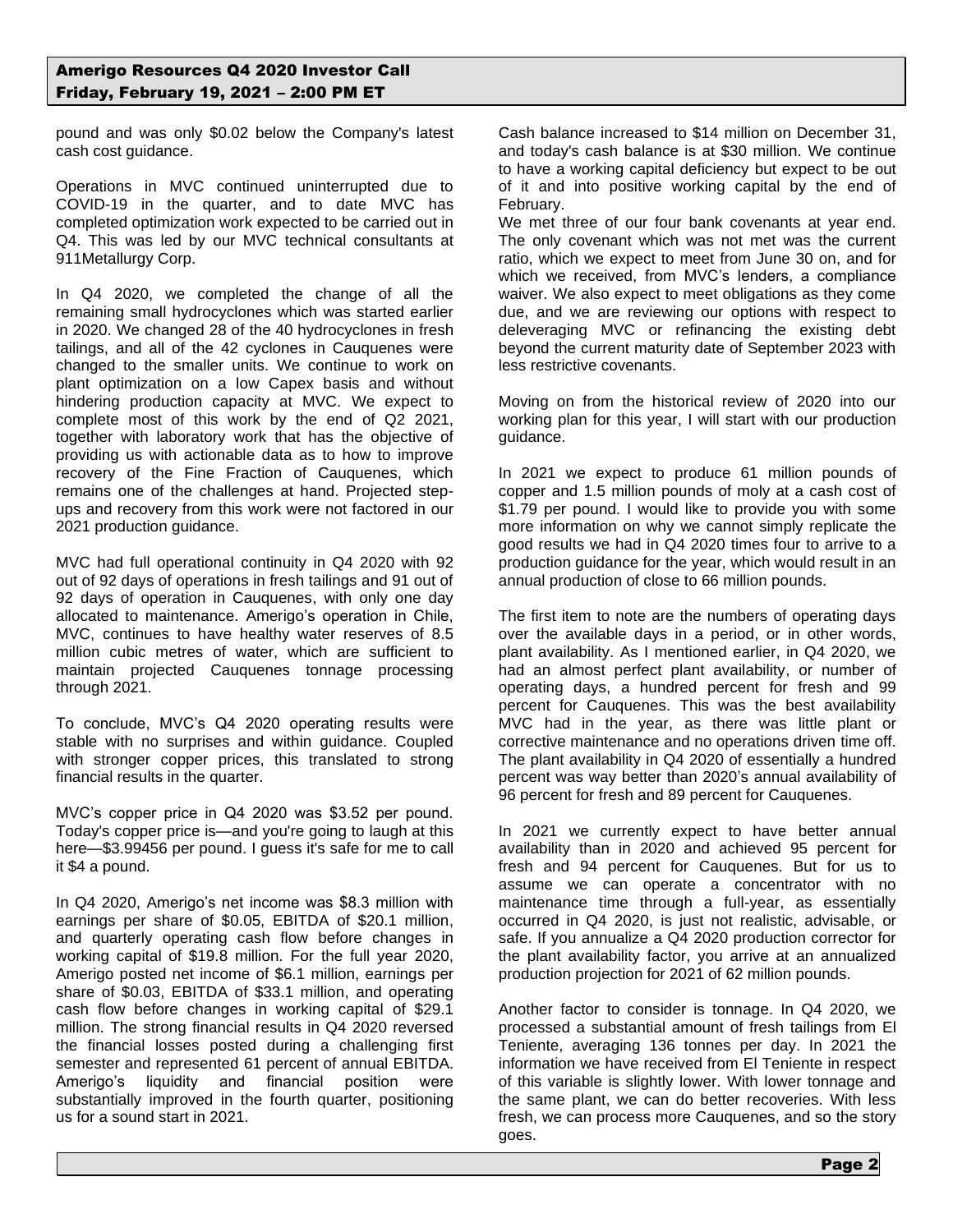pound and was only \$0.02 below the Company's latest cash cost guidance.

Operations in MVC continued uninterrupted due to COVID-19 in the quarter, and to date MVC has completed optimization work expected to be carried out in Q4. This was led by our MVC technical consultants at 911Metallurgy Corp.

In Q4 2020, we completed the change of all the remaining small hydrocyclones which was started earlier in 2020. We changed 28 of the 40 hydrocyclones in fresh tailings, and all of the 42 cyclones in Cauquenes were changed to the smaller units. We continue to work on plant optimization on a low Capex basis and without hindering production capacity at MVC. We expect to complete most of this work by the end of Q2 2021, together with laboratory work that has the objective of providing us with actionable data as to how to improve recovery of the Fine Fraction of Cauquenes, which remains one of the challenges at hand. Projected stepups and recovery from this work were not factored in our 2021 production guidance.

MVC had full operational continuity in Q4 2020 with 92 out of 92 days of operations in fresh tailings and 91 out of 92 days of operation in Cauquenes, with only one day allocated to maintenance. Amerigo's operation in Chile, MVC, continues to have healthy water reserves of 8.5 million cubic metres of water, which are sufficient to maintain projected Cauquenes tonnage processing through 2021.

To conclude, MVC's Q4 2020 operating results were stable with no surprises and within guidance. Coupled with stronger copper prices, this translated to strong financial results in the quarter.

MVC's copper price in Q4 2020 was \$3.52 per pound. Today's copper price is—and you're going to laugh at this here—\$3.99456 per pound. I guess it's safe for me to call it \$4 a pound.

In Q4 2020, Amerigo's net income was \$8.3 million with earnings per share of \$0.05, EBITDA of \$20.1 million, and quarterly operating cash flow before changes in working capital of \$19.8 million. For the full year 2020, Amerigo posted net income of \$6.1 million, earnings per share of \$0.03, EBITDA of \$33.1 million, and operating cash flow before changes in working capital of \$29.1 million. The strong financial results in Q4 2020 reversed the financial losses posted during a challenging first semester and represented 61 percent of annual EBITDA. Amerigo's liquidity and financial position were substantially improved in the fourth quarter, positioning us for a sound start in 2021.

Cash balance increased to \$14 million on December 31, and today's cash balance is at \$30 million. We continue to have a working capital deficiency but expect to be out of it and into positive working capital by the end of February.

We met three of our four bank covenants at year end. The only covenant which was not met was the current ratio, which we expect to meet from June 30 on, and for which we received, from MVC's lenders, a compliance waiver. We also expect to meet obligations as they come due, and we are reviewing our options with respect to deleveraging MVC or refinancing the existing debt beyond the current maturity date of September 2023 with less restrictive covenants.

Moving on from the historical review of 2020 into our working plan for this year, I will start with our production guidance.

In 2021 we expect to produce 61 million pounds of copper and 1.5 million pounds of moly at a cash cost of \$1.79 per pound. I would like to provide you with some more information on why we cannot simply replicate the good results we had in Q4 2020 times four to arrive to a production guidance for the year, which would result in an annual production of close to 66 million pounds.

The first item to note are the numbers of operating days over the available days in a period, or in other words, plant availability. As I mentioned earlier, in Q4 2020, we had an almost perfect plant availability, or number of operating days, a hundred percent for fresh and 99 percent for Cauquenes. This was the best availability MVC had in the year, as there was little plant or corrective maintenance and no operations driven time off. The plant availability in Q4 2020 of essentially a hundred percent was way better than 2020's annual availability of 96 percent for fresh and 89 percent for Cauquenes.

In 2021 we currently expect to have better annual availability than in 2020 and achieved 95 percent for fresh and 94 percent for Cauquenes. But for us to assume we can operate a concentrator with no maintenance time through a full-year, as essentially occurred in Q4 2020, is just not realistic, advisable, or safe. If you annualize a Q4 2020 production corrector for the plant availability factor, you arrive at an annualized production projection for 2021 of 62 million pounds.

Another factor to consider is tonnage. In Q4 2020, we processed a substantial amount of fresh tailings from El Teniente, averaging 136 tonnes per day. In 2021 the information we have received from El Teniente in respect of this variable is slightly lower. With lower tonnage and the same plant, we can do better recoveries. With less fresh, we can process more Cauquenes, and so the story goes.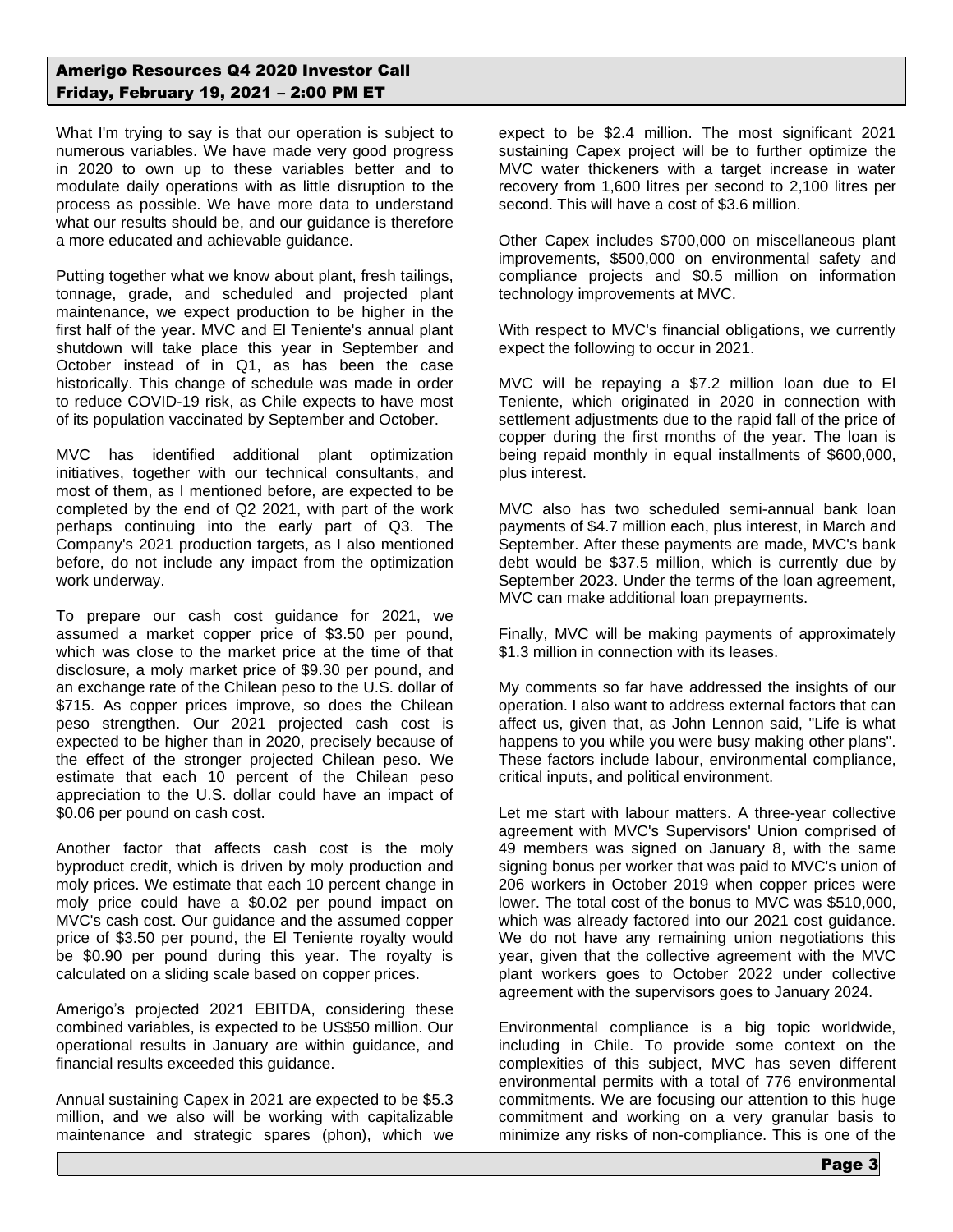What I'm trying to say is that our operation is subject to numerous variables. We have made very good progress in 2020 to own up to these variables better and to modulate daily operations with as little disruption to the process as possible. We have more data to understand what our results should be, and our guidance is therefore a more educated and achievable guidance.

Putting together what we know about plant, fresh tailings, tonnage, grade, and scheduled and projected plant maintenance, we expect production to be higher in the first half of the year. MVC and El Teniente's annual plant shutdown will take place this year in September and October instead of in Q1, as has been the case historically. This change of schedule was made in order to reduce COVID-19 risk, as Chile expects to have most of its population vaccinated by September and October.

MVC has identified additional plant optimization initiatives, together with our technical consultants, and most of them, as I mentioned before, are expected to be completed by the end of Q2 2021, with part of the work perhaps continuing into the early part of Q3. The Company's 2021 production targets, as I also mentioned before, do not include any impact from the optimization work underway.

To prepare our cash cost guidance for 2021, we assumed a market copper price of \$3.50 per pound, which was close to the market price at the time of that disclosure, a moly market price of \$9.30 per pound, and an exchange rate of the Chilean peso to the U.S. dollar of \$715. As copper prices improve, so does the Chilean peso strengthen. Our 2021 projected cash cost is expected to be higher than in 2020, precisely because of the effect of the stronger projected Chilean peso. We estimate that each 10 percent of the Chilean peso appreciation to the U.S. dollar could have an impact of \$0.06 per pound on cash cost.

Another factor that affects cash cost is the moly byproduct credit, which is driven by moly production and moly prices. We estimate that each 10 percent change in moly price could have a \$0.02 per pound impact on MVC's cash cost. Our guidance and the assumed copper price of \$3.50 per pound, the El Teniente royalty would be \$0.90 per pound during this year. The royalty is calculated on a sliding scale based on copper prices.

Amerigo's projected 2021 EBITDA, considering these combined variables, is expected to be US\$50 million. Our operational results in January are within guidance, and financial results exceeded this guidance.

Annual sustaining Capex in 2021 are expected to be \$5.3 million, and we also will be working with capitalizable maintenance and strategic spares (phon), which we

expect to be \$2.4 million. The most significant 2021 sustaining Capex project will be to further optimize the MVC water thickeners with a target increase in water recovery from 1,600 litres per second to 2,100 litres per second. This will have a cost of \$3.6 million.

Other Capex includes \$700,000 on miscellaneous plant improvements, \$500,000 on environmental safety and compliance projects and \$0.5 million on information technology improvements at MVC.

With respect to MVC's financial obligations, we currently expect the following to occur in 2021.

MVC will be repaying a \$7.2 million loan due to El Teniente, which originated in 2020 in connection with settlement adjustments due to the rapid fall of the price of copper during the first months of the year. The loan is being repaid monthly in equal installments of \$600,000, plus interest.

MVC also has two scheduled semi-annual bank loan payments of \$4.7 million each, plus interest, in March and September. After these payments are made, MVC's bank debt would be \$37.5 million, which is currently due by September 2023. Under the terms of the loan agreement, MVC can make additional loan prepayments.

Finally, MVC will be making payments of approximately \$1.3 million in connection with its leases.

My comments so far have addressed the insights of our operation. I also want to address external factors that can affect us, given that, as John Lennon said, "Life is what happens to you while you were busy making other plans". These factors include labour, environmental compliance, critical inputs, and political environment.

Let me start with labour matters. A three-year collective agreement with MVC's Supervisors' Union comprised of 49 members was signed on January 8, with the same signing bonus per worker that was paid to MVC's union of 206 workers in October 2019 when copper prices were lower. The total cost of the bonus to MVC was \$510,000, which was already factored into our 2021 cost guidance. We do not have any remaining union negotiations this year, given that the collective agreement with the MVC plant workers goes to October 2022 under collective agreement with the supervisors goes to January 2024.

Environmental compliance is a big topic worldwide, including in Chile. To provide some context on the complexities of this subject, MVC has seven different environmental permits with a total of 776 environmental commitments. We are focusing our attention to this huge commitment and working on a very granular basis to minimize any risks of non-compliance. This is one of the

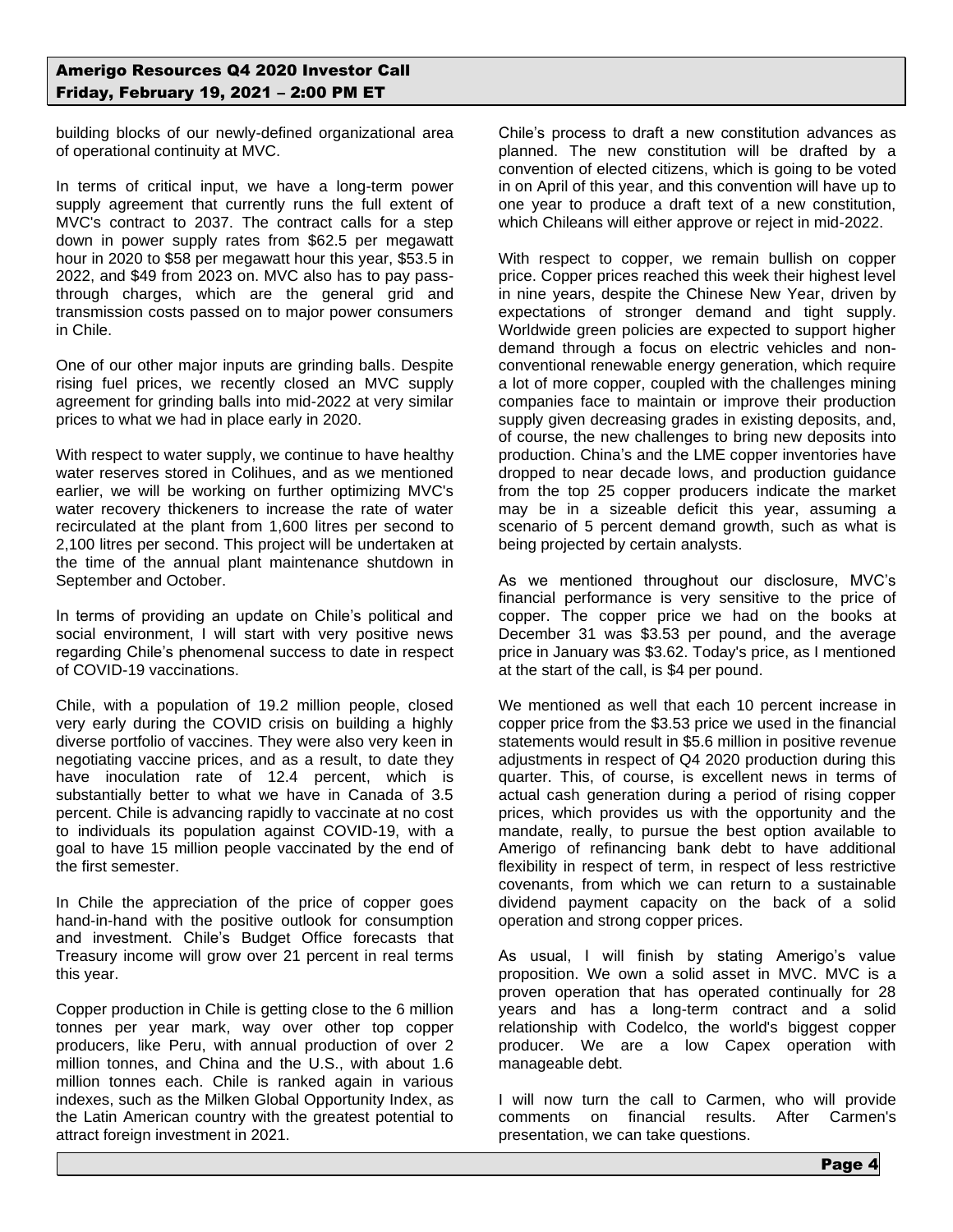building blocks of our newly-defined organizational area of operational continuity at MVC.

In terms of critical input, we have a long-term power supply agreement that currently runs the full extent of MVC's contract to 2037. The contract calls for a step down in power supply rates from \$62.5 per megawatt hour in 2020 to \$58 per megawatt hour this year, \$53.5 in 2022, and \$49 from 2023 on. MVC also has to pay passthrough charges, which are the general grid and transmission costs passed on to major power consumers in Chile.

One of our other major inputs are grinding balls. Despite rising fuel prices, we recently closed an MVC supply agreement for grinding balls into mid-2022 at very similar prices to what we had in place early in 2020.

With respect to water supply, we continue to have healthy water reserves stored in Colihues, and as we mentioned earlier, we will be working on further optimizing MVC's water recovery thickeners to increase the rate of water recirculated at the plant from 1,600 litres per second to 2,100 litres per second. This project will be undertaken at the time of the annual plant maintenance shutdown in September and October.

In terms of providing an update on Chile's political and social environment, I will start with very positive news regarding Chile's phenomenal success to date in respect of COVID-19 vaccinations.

Chile, with a population of 19.2 million people, closed very early during the COVID crisis on building a highly diverse portfolio of vaccines. They were also very keen in negotiating vaccine prices, and as a result, to date they have inoculation rate of 12.4 percent, which is substantially better to what we have in Canada of 3.5 percent. Chile is advancing rapidly to vaccinate at no cost to individuals its population against COVID-19, with a goal to have 15 million people vaccinated by the end of the first semester.

In Chile the appreciation of the price of copper goes hand-in-hand with the positive outlook for consumption and investment. Chile's Budget Office forecasts that Treasury income will grow over 21 percent in real terms this year.

Copper production in Chile is getting close to the 6 million tonnes per year mark, way over other top copper producers, like Peru, with annual production of over 2 million tonnes, and China and the U.S., with about 1.6 million tonnes each. Chile is ranked again in various indexes, such as the Milken Global Opportunity Index, as the Latin American country with the greatest potential to attract foreign investment in 2021.

Chile's process to draft a new constitution advances as planned. The new constitution will be drafted by a convention of elected citizens, which is going to be voted in on April of this year, and this convention will have up to one year to produce a draft text of a new constitution, which Chileans will either approve or reject in mid-2022.

With respect to copper, we remain bullish on copper price. Copper prices reached this week their highest level in nine years, despite the Chinese New Year, driven by expectations of stronger demand and tight supply. Worldwide green policies are expected to support higher demand through a focus on electric vehicles and nonconventional renewable energy generation, which require a lot of more copper, coupled with the challenges mining companies face to maintain or improve their production supply given decreasing grades in existing deposits, and, of course, the new challenges to bring new deposits into production. China's and the LME copper inventories have dropped to near decade lows, and production guidance from the top 25 copper producers indicate the market may be in a sizeable deficit this year, assuming a scenario of 5 percent demand growth, such as what is being projected by certain analysts.

As we mentioned throughout our disclosure, MVC's financial performance is very sensitive to the price of copper. The copper price we had on the books at December 31 was \$3.53 per pound, and the average price in January was \$3.62. Today's price, as I mentioned at the start of the call, is \$4 per pound.

We mentioned as well that each 10 percent increase in copper price from the \$3.53 price we used in the financial statements would result in \$5.6 million in positive revenue adjustments in respect of Q4 2020 production during this quarter. This, of course, is excellent news in terms of actual cash generation during a period of rising copper prices, which provides us with the opportunity and the mandate, really, to pursue the best option available to Amerigo of refinancing bank debt to have additional flexibility in respect of term, in respect of less restrictive covenants, from which we can return to a sustainable dividend payment capacity on the back of a solid operation and strong copper prices.

As usual, I will finish by stating Amerigo's value proposition. We own a solid asset in MVC. MVC is a proven operation that has operated continually for 28 years and has a long-term contract and a solid relationship with Codelco, the world's biggest copper producer. We are a low Capex operation with manageable debt.

I will now turn the call to Carmen, who will provide comments on financial results. After Carmen's presentation, we can take questions.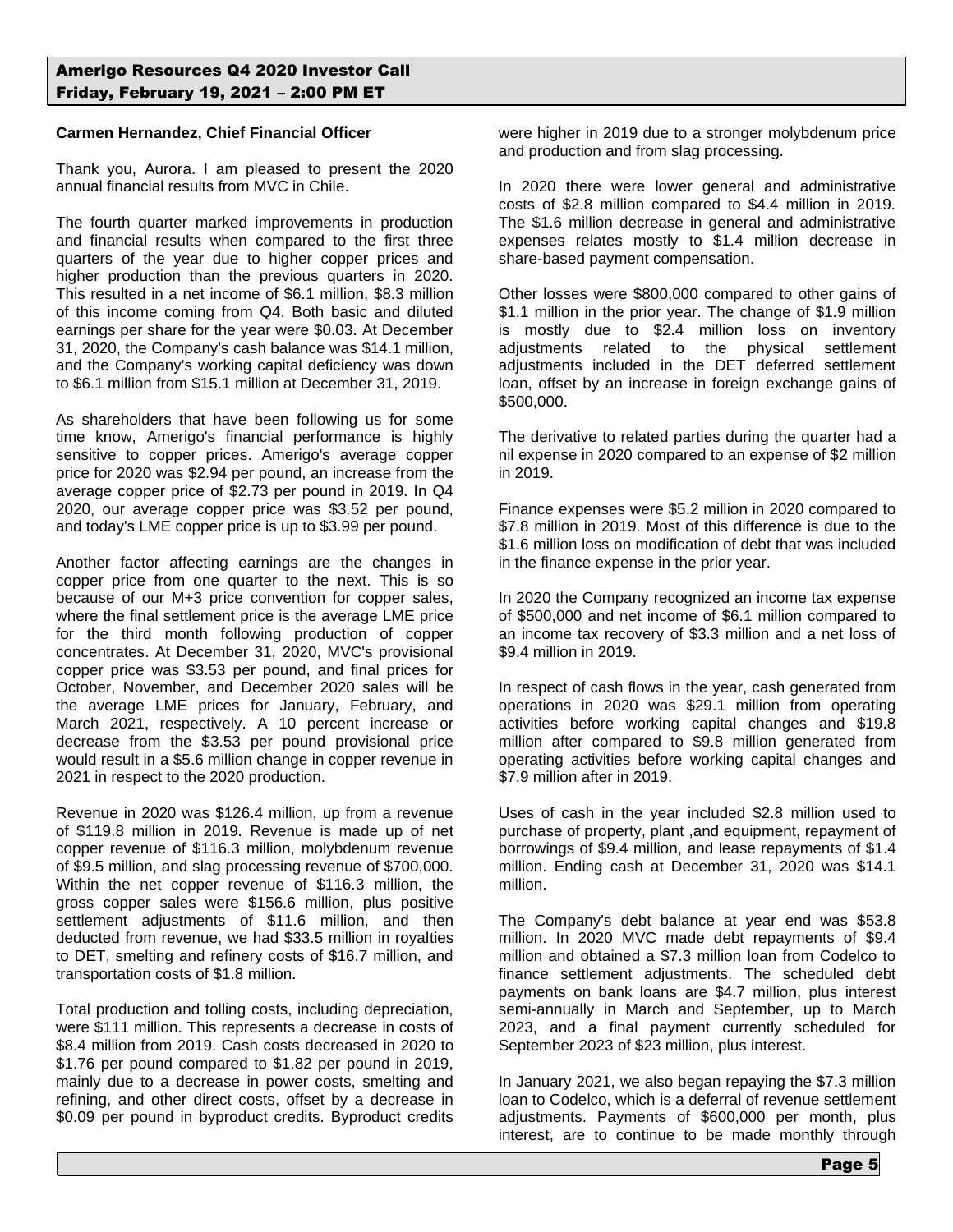### **Carmen Hernandez, Chief Financial Officer**

Thank you, Aurora. I am pleased to present the 2020 annual financial results from MVC in Chile.

The fourth quarter marked improvements in production and financial results when compared to the first three quarters of the year due to higher copper prices and higher production than the previous quarters in 2020. This resulted in a net income of \$6.1 million, \$8.3 million of this income coming from Q4. Both basic and diluted earnings per share for the year were \$0.03. At December 31, 2020, the Company's cash balance was \$14.1 million, and the Company's working capital deficiency was down to \$6.1 million from \$15.1 million at December 31, 2019.

As shareholders that have been following us for some time know, Amerigo's financial performance is highly sensitive to copper prices. Amerigo's average copper price for 2020 was \$2.94 per pound, an increase from the average copper price of \$2.73 per pound in 2019. In Q4 2020, our average copper price was \$3.52 per pound, and today's LME copper price is up to \$3.99 per pound.

Another factor affecting earnings are the changes in copper price from one quarter to the next. This is so because of our M+3 price convention for copper sales, where the final settlement price is the average LME price for the third month following production of copper concentrates. At December 31, 2020, MVC's provisional copper price was \$3.53 per pound, and final prices for October, November, and December 2020 sales will be the average LME prices for January, February, and March 2021, respectively. A 10 percent increase or decrease from the \$3.53 per pound provisional price would result in a \$5.6 million change in copper revenue in 2021 in respect to the 2020 production.

Revenue in 2020 was \$126.4 million, up from a revenue of \$119.8 million in 2019. Revenue is made up of net copper revenue of \$116.3 million, molybdenum revenue of \$9.5 million, and slag processing revenue of \$700,000. Within the net copper revenue of \$116.3 million, the gross copper sales were \$156.6 million, plus positive settlement adjustments of \$11.6 million, and then deducted from revenue, we had \$33.5 million in royalties to DET, smelting and refinery costs of \$16.7 million, and transportation costs of \$1.8 million.

Total production and tolling costs, including depreciation, were \$111 million. This represents a decrease in costs of \$8.4 million from 2019. Cash costs decreased in 2020 to \$1.76 per pound compared to \$1.82 per pound in 2019, mainly due to a decrease in power costs, smelting and refining, and other direct costs, offset by a decrease in \$0.09 per pound in byproduct credits. Byproduct credits

were higher in 2019 due to a stronger molybdenum price and production and from slag processing.

In 2020 there were lower general and administrative costs of \$2.8 million compared to \$4.4 million in 2019. The \$1.6 million decrease in general and administrative expenses relates mostly to \$1.4 million decrease in share-based payment compensation.

Other losses were \$800,000 compared to other gains of \$1.1 million in the prior year. The change of \$1.9 million is mostly due to \$2.4 million loss on inventory adjustments related to the physical settlement adjustments included in the DET deferred settlement loan, offset by an increase in foreign exchange gains of \$500,000.

The derivative to related parties during the quarter had a nil expense in 2020 compared to an expense of \$2 million in 2019.

Finance expenses were \$5.2 million in 2020 compared to \$7.8 million in 2019. Most of this difference is due to the \$1.6 million loss on modification of debt that was included in the finance expense in the prior year.

In 2020 the Company recognized an income tax expense of \$500,000 and net income of \$6.1 million compared to an income tax recovery of \$3.3 million and a net loss of \$9.4 million in 2019.

In respect of cash flows in the year, cash generated from operations in 2020 was \$29.1 million from operating activities before working capital changes and \$19.8 million after compared to \$9.8 million generated from operating activities before working capital changes and \$7.9 million after in 2019.

Uses of cash in the year included \$2.8 million used to purchase of property, plant ,and equipment, repayment of borrowings of \$9.4 million, and lease repayments of \$1.4 million. Ending cash at December 31, 2020 was \$14.1 million.

The Company's debt balance at year end was \$53.8 million. In 2020 MVC made debt repayments of \$9.4 million and obtained a \$7.3 million loan from Codelco to finance settlement adjustments. The scheduled debt payments on bank loans are \$4.7 million, plus interest semi-annually in March and September, up to March 2023, and a final payment currently scheduled for September 2023 of \$23 million, plus interest.

In January 2021, we also began repaying the \$7.3 million loan to Codelco, which is a deferral of revenue settlement adjustments. Payments of \$600,000 per month, plus interest, are to continue to be made monthly through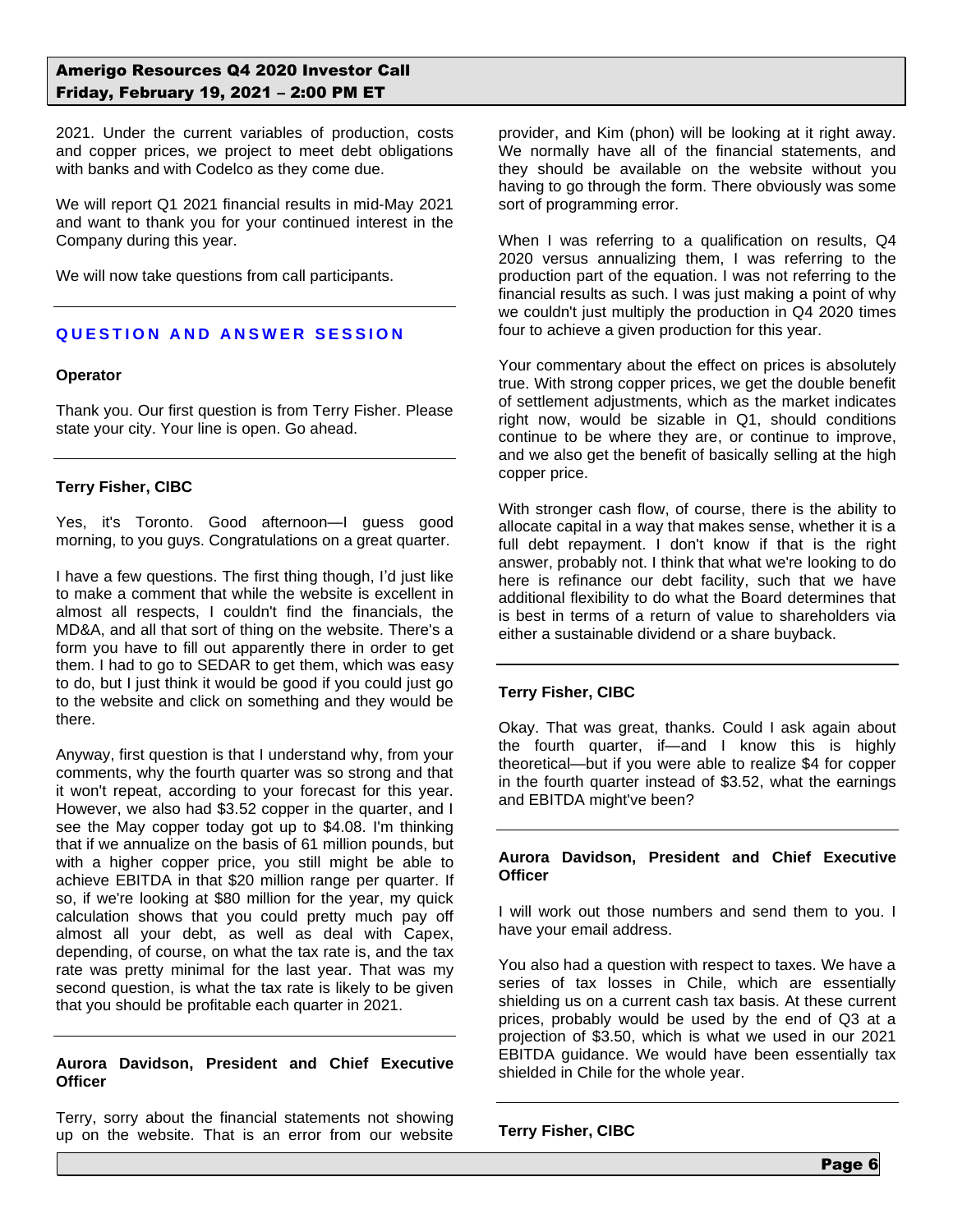2021. Under the current variables of production, costs and copper prices, we project to meet debt obligations with banks and with Codelco as they come due.

We will report Q1 2021 financial results in mid-May 2021 and want to thank you for your continued interest in the Company during this year.

We will now take questions from call participants.

## **QUESTION AND ANSWER SESSION**

#### **Operator**

Thank you. Our first question is from Terry Fisher. Please state your city. Your line is open. Go ahead.

### **Terry Fisher, CIBC**

Yes, it's Toronto. Good afternoon—I guess good morning, to you guys. Congratulations on a great quarter.

I have a few questions. The first thing though, I'd just like to make a comment that while the website is excellent in almost all respects, I couldn't find the financials, the MD&A, and all that sort of thing on the website. There's a form you have to fill out apparently there in order to get them. I had to go to SEDAR to get them, which was easy to do, but I just think it would be good if you could just go to the website and click on something and they would be there.

Anyway, first question is that I understand why, from your comments, why the fourth quarter was so strong and that it won't repeat, according to your forecast for this year. However, we also had \$3.52 copper in the quarter, and I see the May copper today got up to \$4.08. I'm thinking that if we annualize on the basis of 61 million pounds, but with a higher copper price, you still might be able to achieve EBITDA in that \$20 million range per quarter. If so, if we're looking at \$80 million for the year, my quick calculation shows that you could pretty much pay off almost all your debt, as well as deal with Capex, depending, of course, on what the tax rate is, and the tax rate was pretty minimal for the last year. That was my second question, is what the tax rate is likely to be given that you should be profitable each quarter in 2021.

### **Aurora Davidson, President and Chief Executive Officer**

Terry, sorry about the financial statements not showing up on the website. That is an error from our website provider, and Kim (phon) will be looking at it right away. We normally have all of the financial statements, and they should be available on the website without you having to go through the form. There obviously was some sort of programming error.

When I was referring to a qualification on results, Q4 2020 versus annualizing them, I was referring to the production part of the equation. I was not referring to the financial results as such. I was just making a point of why we couldn't just multiply the production in Q4 2020 times four to achieve a given production for this year.

Your commentary about the effect on prices is absolutely true. With strong copper prices, we get the double benefit of settlement adjustments, which as the market indicates right now, would be sizable in Q1, should conditions continue to be where they are, or continue to improve, and we also get the benefit of basically selling at the high copper price.

With stronger cash flow, of course, there is the ability to allocate capital in a way that makes sense, whether it is a full debt repayment. I don't know if that is the right answer, probably not. I think that what we're looking to do here is refinance our debt facility, such that we have additional flexibility to do what the Board determines that is best in terms of a return of value to shareholders via either a sustainable dividend or a share buyback.

### **Terry Fisher, CIBC**

Okay. That was great, thanks. Could I ask again about the fourth quarter, if—and I know this is highly theoretical—but if you were able to realize \$4 for copper in the fourth quarter instead of \$3.52, what the earnings and EBITDA might've been?

### **Aurora Davidson, President and Chief Executive Officer**

I will work out those numbers and send them to you. I have your email address.

You also had a question with respect to taxes. We have a series of tax losses in Chile, which are essentially shielding us on a current cash tax basis. At these current prices, probably would be used by the end of Q3 at a projection of \$3.50, which is what we used in our 2021 EBITDA guidance. We would have been essentially tax shielded in Chile for the whole year.

**Terry Fisher, CIBC**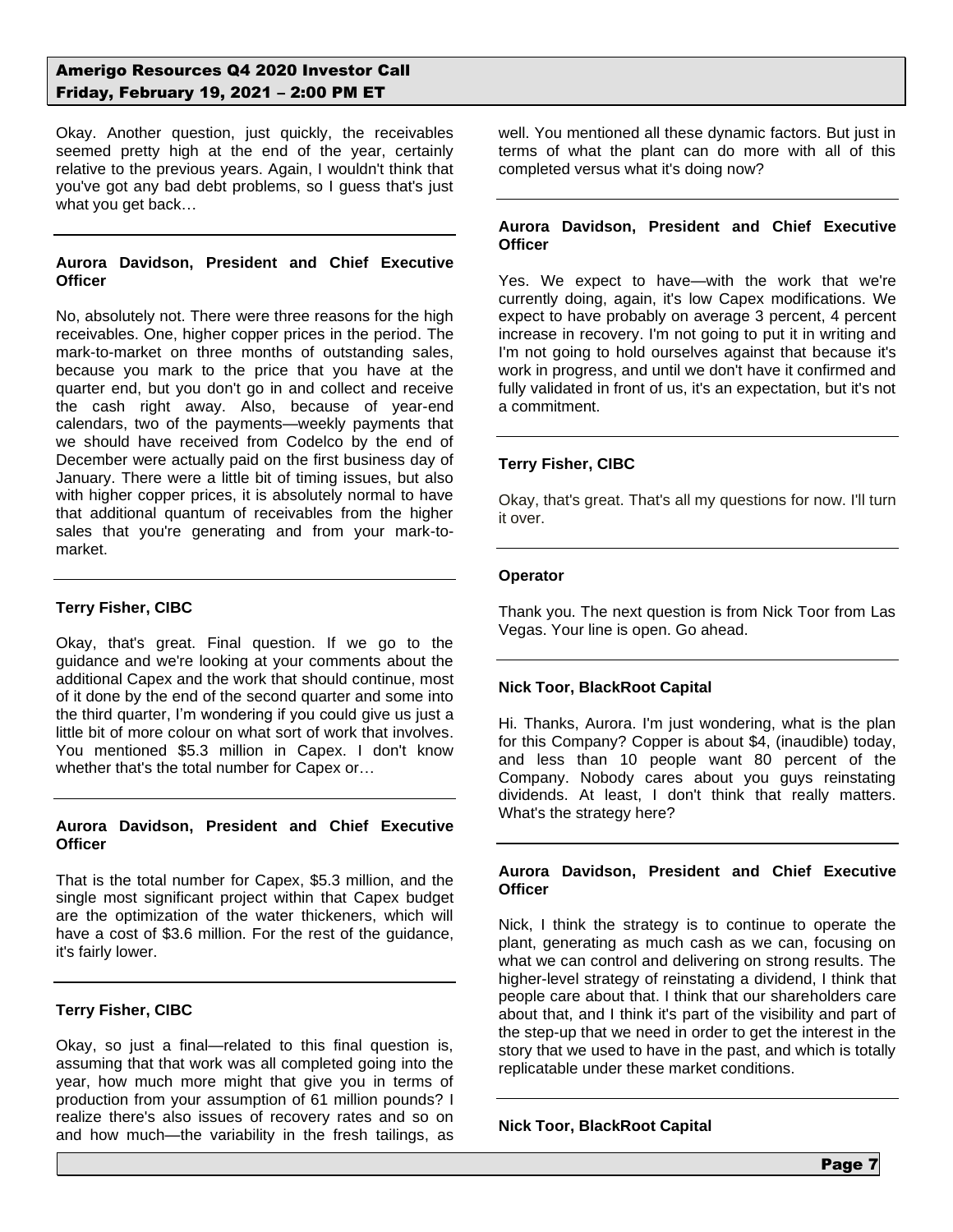Okay. Another question, just quickly, the receivables seemed pretty high at the end of the year, certainly relative to the previous years. Again, I wouldn't think that you've got any bad debt problems, so I guess that's just what you get back…

### **Aurora Davidson, President and Chief Executive Officer**

No, absolutely not. There were three reasons for the high receivables. One, higher copper prices in the period. The mark-to-market on three months of outstanding sales, because you mark to the price that you have at the quarter end, but you don't go in and collect and receive the cash right away. Also, because of year-end calendars, two of the payments—weekly payments that we should have received from Codelco by the end of December were actually paid on the first business day of January. There were a little bit of timing issues, but also with higher copper prices, it is absolutely normal to have that additional quantum of receivables from the higher sales that you're generating and from your mark-tomarket.

### **Terry Fisher, CIBC**

Okay, that's great. Final question. If we go to the guidance and we're looking at your comments about the additional Capex and the work that should continue, most of it done by the end of the second quarter and some into the third quarter, I'm wondering if you could give us just a little bit of more colour on what sort of work that involves. You mentioned \$5.3 million in Capex. I don't know whether that's the total number for Capex or…

### **Aurora Davidson, President and Chief Executive Officer**

That is the total number for Capex, \$5.3 million, and the single most significant project within that Capex budget are the optimization of the water thickeners, which will have a cost of \$3.6 million. For the rest of the guidance, it's fairly lower.

### **Terry Fisher, CIBC**

Okay, so just a final—related to this final question is, assuming that that work was all completed going into the year, how much more might that give you in terms of production from your assumption of 61 million pounds? I realize there's also issues of recovery rates and so on and how much—the variability in the fresh tailings, as well. You mentioned all these dynamic factors. But just in terms of what the plant can do more with all of this completed versus what it's doing now?

### **Aurora Davidson, President and Chief Executive Officer**

Yes. We expect to have—with the work that we're currently doing, again, it's low Capex modifications. We expect to have probably on average 3 percent, 4 percent increase in recovery. I'm not going to put it in writing and I'm not going to hold ourselves against that because it's work in progress, and until we don't have it confirmed and fully validated in front of us, it's an expectation, but it's not a commitment.

### **Terry Fisher, CIBC**

Okay, that's great. That's all my questions for now. I'll turn it over.

### **Operator**

Thank you. The next question is from Nick Toor from Las Vegas. Your line is open. Go ahead.

### **Nick Toor, BlackRoot Capital**

Hi. Thanks, Aurora. I'm just wondering, what is the plan for this Company? Copper is about \$4, (inaudible) today, and less than 10 people want 80 percent of the Company. Nobody cares about you guys reinstating dividends. At least, I don't think that really matters. What's the strategy here?

### **Aurora Davidson, President and Chief Executive Officer**

Nick, I think the strategy is to continue to operate the plant, generating as much cash as we can, focusing on what we can control and delivering on strong results. The higher-level strategy of reinstating a dividend, I think that people care about that. I think that our shareholders care about that, and I think it's part of the visibility and part of the step-up that we need in order to get the interest in the story that we used to have in the past, and which is totally replicatable under these market conditions.

### **Nick Toor, BlackRoot Capital**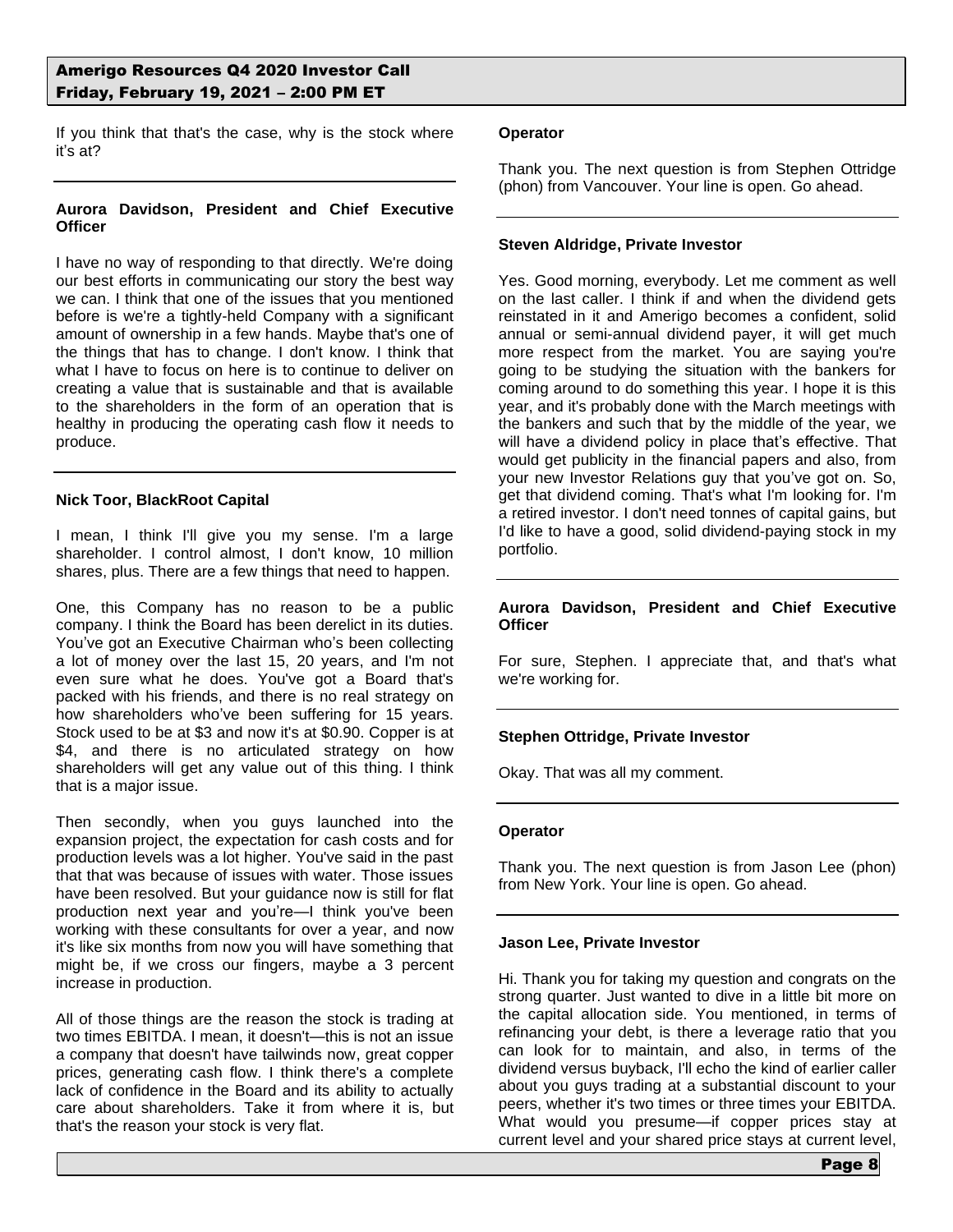If you think that that's the case, why is the stock where it's at?

### **Aurora Davidson, President and Chief Executive Officer**

I have no way of responding to that directly. We're doing our best efforts in communicating our story the best way we can. I think that one of the issues that you mentioned before is we're a tightly-held Company with a significant amount of ownership in a few hands. Maybe that's one of the things that has to change. I don't know. I think that what I have to focus on here is to continue to deliver on creating a value that is sustainable and that is available to the shareholders in the form of an operation that is healthy in producing the operating cash flow it needs to produce.

### **Nick Toor, BlackRoot Capital**

I mean, I think I'll give you my sense. I'm a large shareholder. I control almost, I don't know, 10 million shares, plus. There are a few things that need to happen.

One, this Company has no reason to be a public company. I think the Board has been derelict in its duties. You've got an Executive Chairman who's been collecting a lot of money over the last 15, 20 years, and I'm not even sure what he does. You've got a Board that's packed with his friends, and there is no real strategy on how shareholders who've been suffering for 15 years. Stock used to be at \$3 and now it's at \$0.90. Copper is at \$4, and there is no articulated strategy on how shareholders will get any value out of this thing. I think that is a major issue.

Then secondly, when you guys launched into the expansion project, the expectation for cash costs and for production levels was a lot higher. You've said in the past that that was because of issues with water. Those issues have been resolved. But your guidance now is still for flat production next year and you're—I think you've been working with these consultants for over a year, and now it's like six months from now you will have something that might be, if we cross our fingers, maybe a 3 percent increase in production.

All of those things are the reason the stock is trading at two times EBITDA. I mean, it doesn't—this is not an issue a company that doesn't have tailwinds now, great copper prices, generating cash flow. I think there's a complete lack of confidence in the Board and its ability to actually care about shareholders. Take it from where it is, but that's the reason your stock is very flat.

### **Operator**

Thank you. The next question is from Stephen Ottridge (phon) from Vancouver. Your line is open. Go ahead.

### **Steven Aldridge, Private Investor**

Yes. Good morning, everybody. Let me comment as well on the last caller. I think if and when the dividend gets reinstated in it and Amerigo becomes a confident, solid annual or semi-annual dividend payer, it will get much more respect from the market. You are saying you're going to be studying the situation with the bankers for coming around to do something this year. I hope it is this year, and it's probably done with the March meetings with the bankers and such that by the middle of the year, we will have a dividend policy in place that's effective. That would get publicity in the financial papers and also, from your new Investor Relations guy that you've got on. So, get that dividend coming. That's what I'm looking for. I'm a retired investor. I don't need tonnes of capital gains, but I'd like to have a good, solid dividend-paying stock in my portfolio.

### **Aurora Davidson, President and Chief Executive Officer**

For sure, Stephen. I appreciate that, and that's what we're working for.

## **Stephen Ottridge, Private Investor**

Okay. That was all my comment.

### **Operator**

Thank you. The next question is from Jason Lee (phon) from New York. Your line is open. Go ahead.

### **Jason Lee, Private Investor**

Hi. Thank you for taking my question and congrats on the strong quarter. Just wanted to dive in a little bit more on the capital allocation side. You mentioned, in terms of refinancing your debt, is there a leverage ratio that you can look for to maintain, and also, in terms of the dividend versus buyback, I'll echo the kind of earlier caller about you guys trading at a substantial discount to your peers, whether it's two times or three times your EBITDA. What would you presume—if copper prices stay at current level and your shared price stays at current level,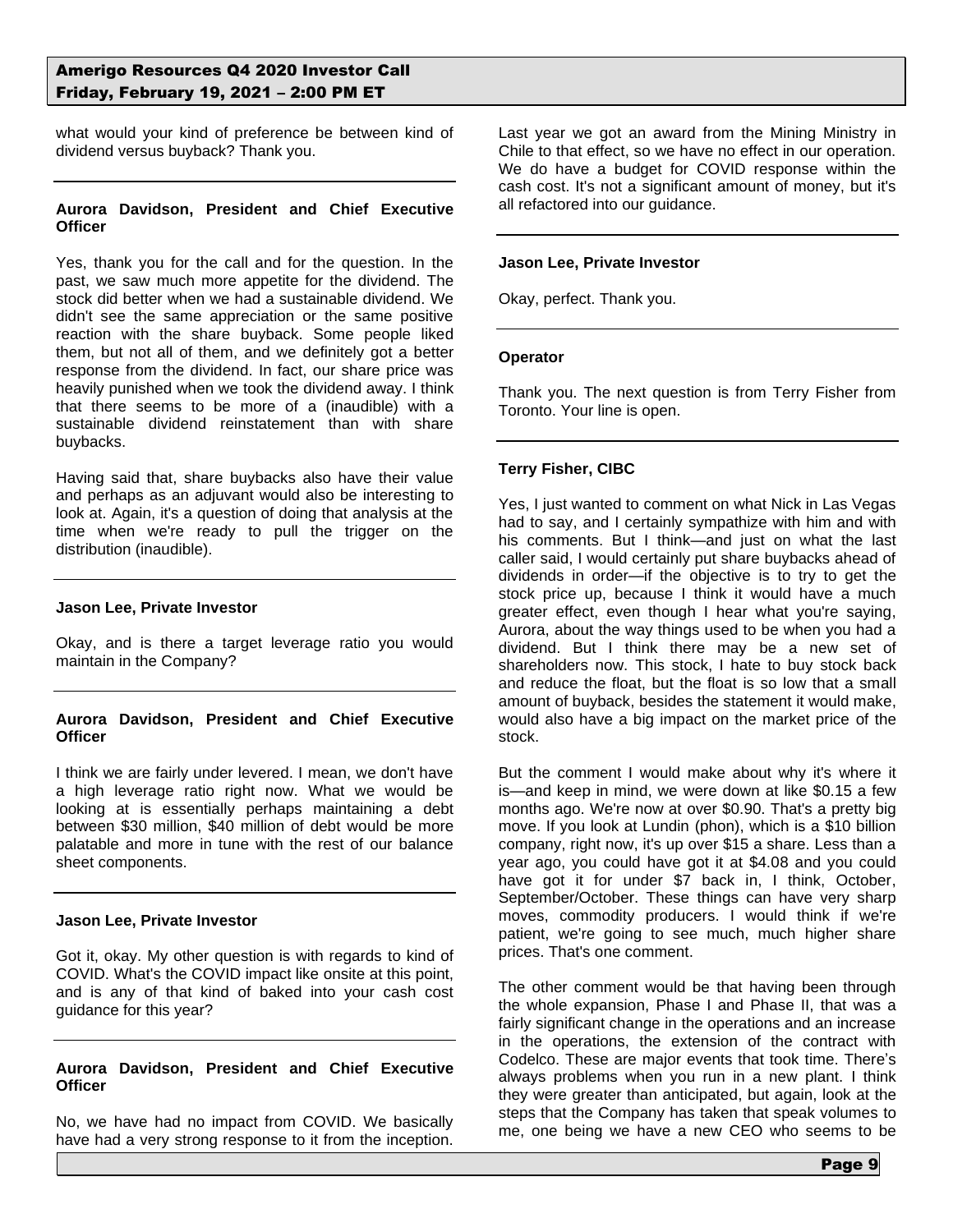what would your kind of preference be between kind of dividend versus buyback? Thank you.

### **Aurora Davidson, President and Chief Executive Officer**

Yes, thank you for the call and for the question. In the past, we saw much more appetite for the dividend. The stock did better when we had a sustainable dividend. We didn't see the same appreciation or the same positive reaction with the share buyback. Some people liked them, but not all of them, and we definitely got a better response from the dividend. In fact, our share price was heavily punished when we took the dividend away. I think that there seems to be more of a (inaudible) with a sustainable dividend reinstatement than with share buybacks.

Having said that, share buybacks also have their value and perhaps as an adjuvant would also be interesting to look at. Again, it's a question of doing that analysis at the time when we're ready to pull the trigger on the distribution (inaudible).

### **Jason Lee, Private Investor**

Okay, and is there a target leverage ratio you would maintain in the Company?

### **Aurora Davidson, President and Chief Executive Officer**

I think we are fairly under levered. I mean, we don't have a high leverage ratio right now. What we would be looking at is essentially perhaps maintaining a debt between \$30 million, \$40 million of debt would be more palatable and more in tune with the rest of our balance sheet components.

### **Jason Lee, Private Investor**

Got it, okay. My other question is with regards to kind of COVID. What's the COVID impact like onsite at this point, and is any of that kind of baked into your cash cost guidance for this year?

### **Aurora Davidson, President and Chief Executive Officer**

No, we have had no impact from COVID. We basically have had a very strong response to it from the inception.

Last year we got an award from the Mining Ministry in Chile to that effect, so we have no effect in our operation. We do have a budget for COVID response within the cash cost. It's not a significant amount of money, but it's all refactored into our guidance.

#### **Jason Lee, Private Investor**

Okay, perfect. Thank you.

#### **Operator**

Thank you. The next question is from Terry Fisher from Toronto. Your line is open.

### **Terry Fisher, CIBC**

Yes, I just wanted to comment on what Nick in Las Vegas had to say, and I certainly sympathize with him and with his comments. But I think—and just on what the last caller said, I would certainly put share buybacks ahead of dividends in order—if the objective is to try to get the stock price up, because I think it would have a much greater effect, even though I hear what you're saying, Aurora, about the way things used to be when you had a dividend. But I think there may be a new set of shareholders now. This stock, I hate to buy stock back and reduce the float, but the float is so low that a small amount of buyback, besides the statement it would make, would also have a big impact on the market price of the stock.

But the comment I would make about why it's where it is—and keep in mind, we were down at like \$0.15 a few months ago. We're now at over \$0.90. That's a pretty big move. If you look at Lundin (phon), which is a \$10 billion company, right now, it's up over \$15 a share. Less than a year ago, you could have got it at \$4.08 and you could have got it for under \$7 back in, I think, October, September/October. These things can have very sharp moves, commodity producers. I would think if we're patient, we're going to see much, much higher share prices. That's one comment.

The other comment would be that having been through the whole expansion, Phase I and Phase II, that was a fairly significant change in the operations and an increase in the operations, the extension of the contract with Codelco. These are major events that took time. There's always problems when you run in a new plant. I think they were greater than anticipated, but again, look at the steps that the Company has taken that speak volumes to me, one being we have a new CEO who seems to be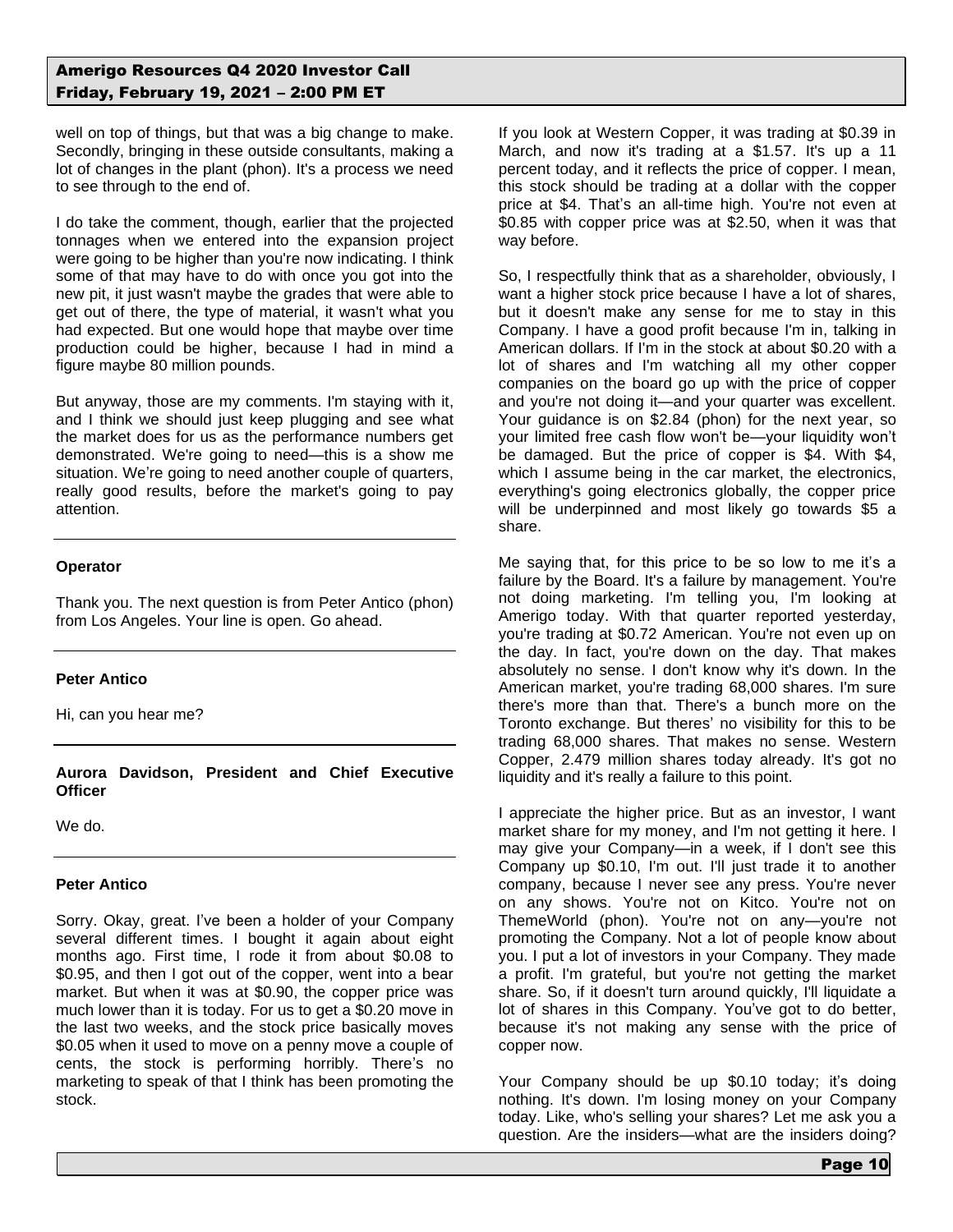well on top of things, but that was a big change to make. Secondly, bringing in these outside consultants, making a lot of changes in the plant (phon). It's a process we need to see through to the end of.

I do take the comment, though, earlier that the projected tonnages when we entered into the expansion project were going to be higher than you're now indicating. I think some of that may have to do with once you got into the new pit, it just wasn't maybe the grades that were able to get out of there, the type of material, it wasn't what you had expected. But one would hope that maybe over time production could be higher, because I had in mind a figure maybe 80 million pounds.

But anyway, those are my comments. I'm staying with it, and I think we should just keep plugging and see what the market does for us as the performance numbers get demonstrated. We're going to need—this is a show me situation. We're going to need another couple of quarters, really good results, before the market's going to pay attention.

### **Operator**

Thank you. The next question is from Peter Antico (phon) from Los Angeles. Your line is open. Go ahead.

## **Peter Antico**

Hi, can you hear me?

**Aurora Davidson, President and Chief Executive Officer**

We do.

### **Peter Antico**

Sorry. Okay, great. I've been a holder of your Company several different times. I bought it again about eight months ago. First time, I rode it from about \$0.08 to \$0.95, and then I got out of the copper, went into a bear market. But when it was at \$0.90, the copper price was much lower than it is today. For us to get a \$0.20 move in the last two weeks, and the stock price basically moves \$0.05 when it used to move on a penny move a couple of cents, the stock is performing horribly. There's no marketing to speak of that I think has been promoting the stock.

If you look at Western Copper, it was trading at \$0.39 in March, and now it's trading at a \$1.57. It's up a 11 percent today, and it reflects the price of copper. I mean, this stock should be trading at a dollar with the copper price at \$4. That's an all-time high. You're not even at \$0.85 with copper price was at \$2.50, when it was that way before.

So, I respectfully think that as a shareholder, obviously, I want a higher stock price because I have a lot of shares, but it doesn't make any sense for me to stay in this Company. I have a good profit because I'm in, talking in American dollars. If I'm in the stock at about \$0.20 with a lot of shares and I'm watching all my other copper companies on the board go up with the price of copper and you're not doing it—and your quarter was excellent. Your guidance is on \$2.84 (phon) for the next year, so your limited free cash flow won't be—your liquidity won't be damaged. But the price of copper is \$4. With \$4, which I assume being in the car market, the electronics, everything's going electronics globally, the copper price will be underpinned and most likely go towards \$5 a share.

Me saying that, for this price to be so low to me it's a failure by the Board. It's a failure by management. You're not doing marketing. I'm telling you, I'm looking at Amerigo today. With that quarter reported yesterday, you're trading at \$0.72 American. You're not even up on the day. In fact, you're down on the day. That makes absolutely no sense. I don't know why it's down. In the American market, you're trading 68,000 shares. I'm sure there's more than that. There's a bunch more on the Toronto exchange. But theres' no visibility for this to be trading 68,000 shares. That makes no sense. Western Copper, 2.479 million shares today already. It's got no liquidity and it's really a failure to this point.

I appreciate the higher price. But as an investor, I want market share for my money, and I'm not getting it here. I may give your Company—in a week, if I don't see this Company up \$0.10, I'm out. I'll just trade it to another company, because I never see any press. You're never on any shows. You're not on Kitco. You're not on ThemeWorld (phon). You're not on any—you're not promoting the Company. Not a lot of people know about you. I put a lot of investors in your Company. They made a profit. I'm grateful, but you're not getting the market share. So, if it doesn't turn around quickly, I'll liquidate a lot of shares in this Company. You've got to do better, because it's not making any sense with the price of copper now.

Your Company should be up \$0.10 today; it's doing nothing. It's down. I'm losing money on your Company today. Like, who's selling your shares? Let me ask you a question. Are the insiders—what are the insiders doing?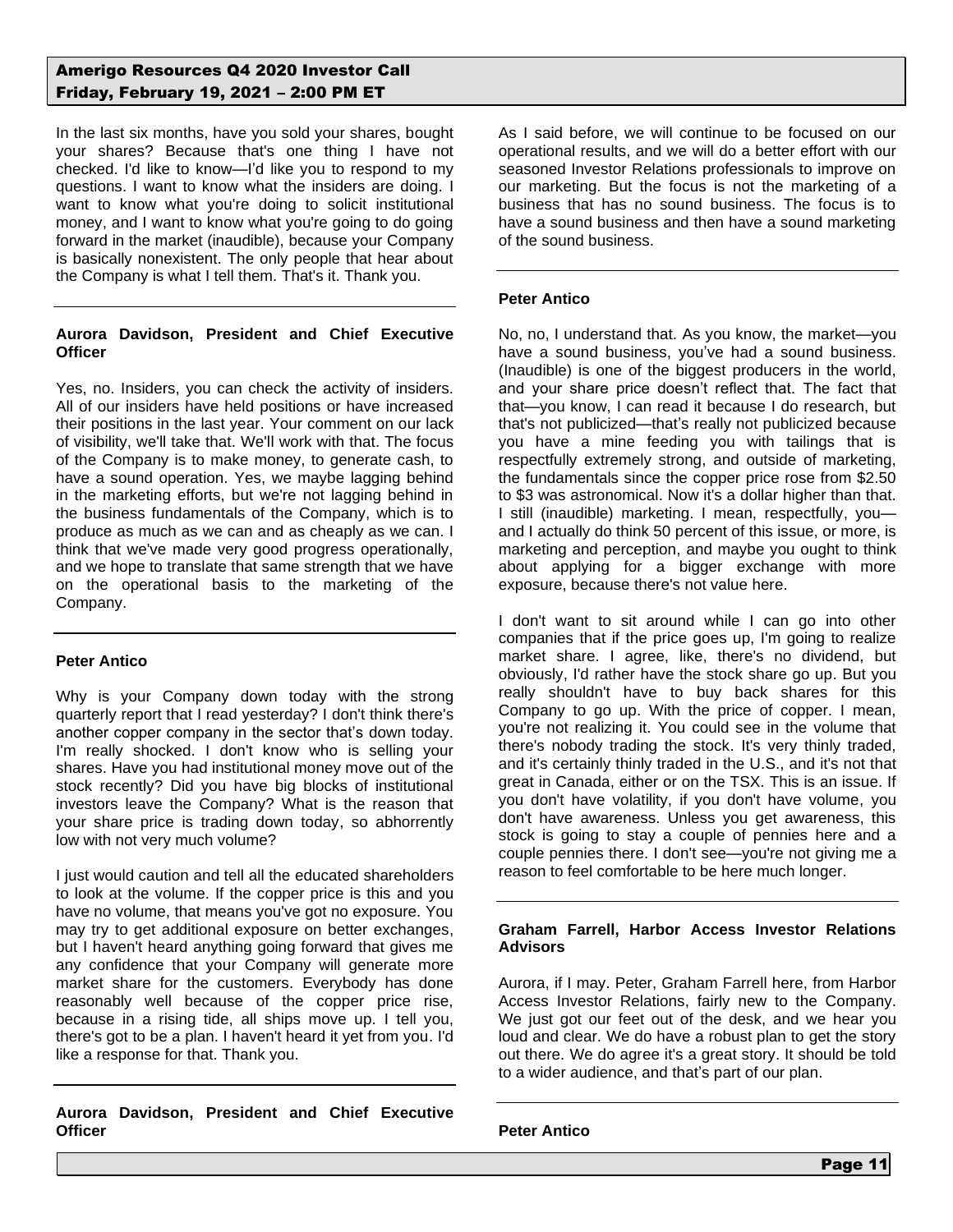In the last six months, have you sold your shares, bought your shares? Because that's one thing I have not checked. I'd like to know—I'd like you to respond to my questions. I want to know what the insiders are doing. I want to know what you're doing to solicit institutional money, and I want to know what you're going to do going forward in the market (inaudible), because your Company is basically nonexistent. The only people that hear about the Company is what I tell them. That's it. Thank you.

## **Aurora Davidson, President and Chief Executive Officer**

Yes, no. Insiders, you can check the activity of insiders. All of our insiders have held positions or have increased their positions in the last year. Your comment on our lack of visibility, we'll take that. We'll work with that. The focus of the Company is to make money, to generate cash, to have a sound operation. Yes, we maybe lagging behind in the marketing efforts, but we're not lagging behind in the business fundamentals of the Company, which is to produce as much as we can and as cheaply as we can. I think that we've made very good progress operationally, and we hope to translate that same strength that we have on the operational basis to the marketing of the Company.

## **Peter Antico**

Why is your Company down today with the strong quarterly report that I read yesterday? I don't think there's another copper company in the sector that's down today. I'm really shocked. I don't know who is selling your shares. Have you had institutional money move out of the stock recently? Did you have big blocks of institutional investors leave the Company? What is the reason that your share price is trading down today, so abhorrently low with not very much volume?

I just would caution and tell all the educated shareholders to look at the volume. If the copper price is this and you have no volume, that means you've got no exposure. You may try to get additional exposure on better exchanges, but I haven't heard anything going forward that gives me any confidence that your Company will generate more market share for the customers. Everybody has done reasonably well because of the copper price rise, because in a rising tide, all ships move up. I tell you, there's got to be a plan. I haven't heard it yet from you. I'd like a response for that. Thank you.

**Aurora Davidson, President and Chief Executive Officer**

As I said before, we will continue to be focused on our operational results, and we will do a better effort with our seasoned Investor Relations professionals to improve on our marketing. But the focus is not the marketing of a business that has no sound business. The focus is to have a sound business and then have a sound marketing of the sound business.

## **Peter Antico**

No, no, I understand that. As you know, the market—you have a sound business, you've had a sound business. (Inaudible) is one of the biggest producers in the world, and your share price doesn't reflect that. The fact that that—you know, I can read it because I do research, but that's not publicized—that's really not publicized because you have a mine feeding you with tailings that is respectfully extremely strong, and outside of marketing, the fundamentals since the copper price rose from \$2.50 to \$3 was astronomical. Now it's a dollar higher than that. I still (inaudible) marketing. I mean, respectfully, you and I actually do think 50 percent of this issue, or more, is marketing and perception, and maybe you ought to think about applying for a bigger exchange with more exposure, because there's not value here.

I don't want to sit around while I can go into other companies that if the price goes up, I'm going to realize market share. I agree, like, there's no dividend, but obviously, I'd rather have the stock share go up. But you really shouldn't have to buy back shares for this Company to go up. With the price of copper. I mean, you're not realizing it. You could see in the volume that there's nobody trading the stock. It's very thinly traded, and it's certainly thinly traded in the U.S., and it's not that great in Canada, either or on the TSX. This is an issue. If you don't have volatility, if you don't have volume, you don't have awareness. Unless you get awareness, this stock is going to stay a couple of pennies here and a couple pennies there. I don't see—you're not giving me a reason to feel comfortable to be here much longer.

### **Graham Farrell, Harbor Access Investor Relations Advisors**

Aurora, if I may. Peter, Graham Farrell here, from Harbor Access Investor Relations, fairly new to the Company. We just got our feet out of the desk, and we hear you loud and clear. We do have a robust plan to get the story out there. We do agree it's a great story. It should be told to a wider audience, and that's part of our plan.

**Peter Antico**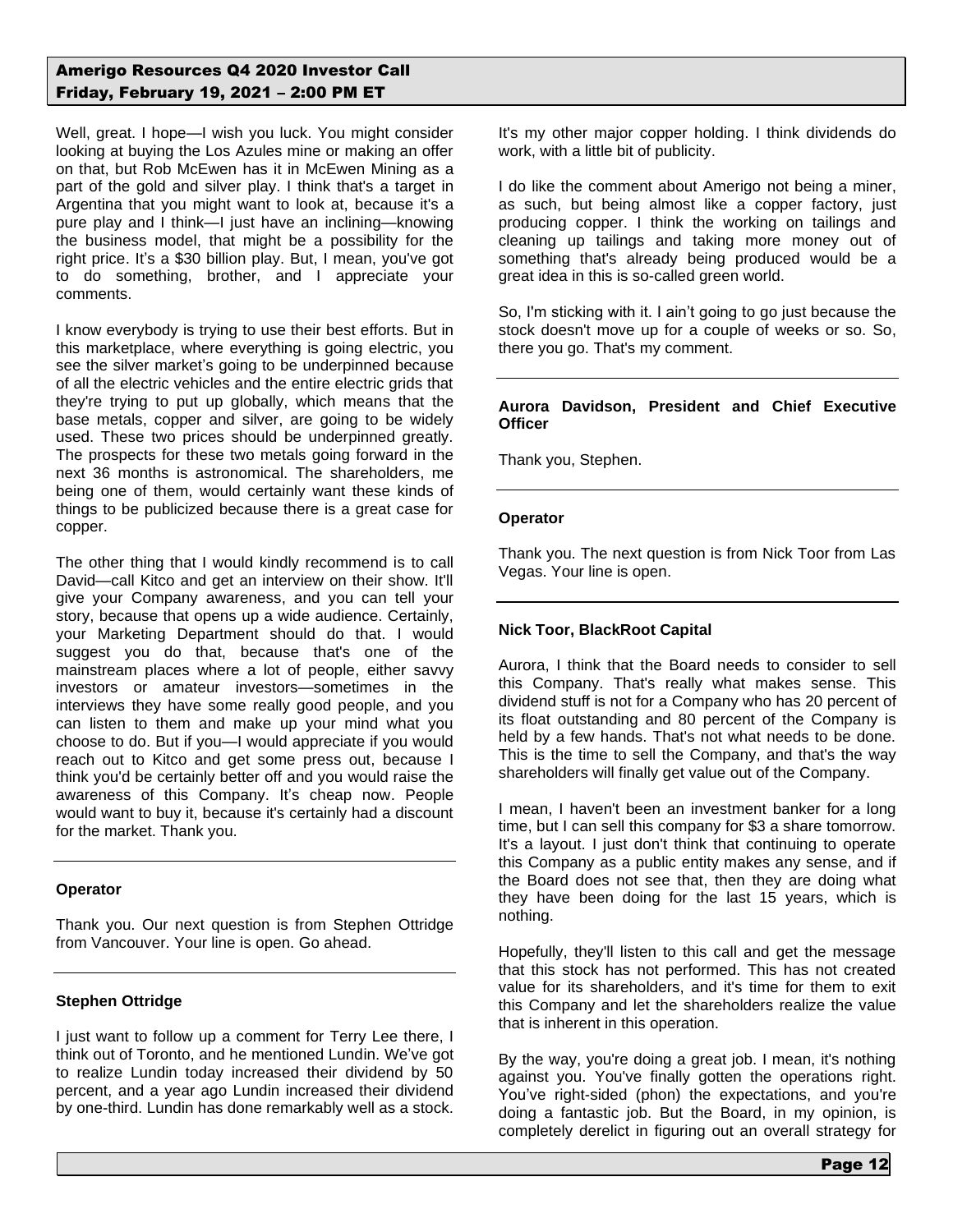Well, great. I hope—I wish you luck. You might consider looking at buying the Los Azules mine or making an offer on that, but Rob McEwen has it in McEwen Mining as a part of the gold and silver play. I think that's a target in Argentina that you might want to look at, because it's a pure play and I think—I just have an inclining—knowing the business model, that might be a possibility for the right price. It's a \$30 billion play. But, I mean, you've got to do something, brother, and I appreciate your comments.

I know everybody is trying to use their best efforts. But in this marketplace, where everything is going electric, you see the silver market's going to be underpinned because of all the electric vehicles and the entire electric grids that they're trying to put up globally, which means that the base metals, copper and silver, are going to be widely used. These two prices should be underpinned greatly. The prospects for these two metals going forward in the next 36 months is astronomical. The shareholders, me being one of them, would certainly want these kinds of things to be publicized because there is a great case for copper.

The other thing that I would kindly recommend is to call David—call Kitco and get an interview on their show. It'll give your Company awareness, and you can tell your story, because that opens up a wide audience. Certainly, your Marketing Department should do that. I would suggest you do that, because that's one of the mainstream places where a lot of people, either savvy investors or amateur investors—sometimes in the interviews they have some really good people, and you can listen to them and make up your mind what you choose to do. But if you—I would appreciate if you would reach out to Kitco and get some press out, because I think you'd be certainly better off and you would raise the awareness of this Company. It's cheap now. People would want to buy it, because it's certainly had a discount for the market. Thank you.

### **Operator**

Thank you. Our next question is from Stephen Ottridge from Vancouver. Your line is open. Go ahead.

## **Stephen Ottridge**

I just want to follow up a comment for Terry Lee there, I think out of Toronto, and he mentioned Lundin. We've got to realize Lundin today increased their dividend by 50 percent, and a year ago Lundin increased their dividend by one-third. Lundin has done remarkably well as a stock.

It's my other major copper holding. I think dividends do work, with a little bit of publicity.

I do like the comment about Amerigo not being a miner, as such, but being almost like a copper factory, just producing copper. I think the working on tailings and cleaning up tailings and taking more money out of something that's already being produced would be a great idea in this is so-called green world.

So. I'm sticking with it. I ain't going to go just because the stock doesn't move up for a couple of weeks or so. So, there you go. That's my comment.

### **Aurora Davidson, President and Chief Executive Officer**

Thank you, Stephen.

## **Operator**

Thank you. The next question is from Nick Toor from Las Vegas. Your line is open.

## **Nick Toor, BlackRoot Capital**

Aurora, I think that the Board needs to consider to sell this Company. That's really what makes sense. This dividend stuff is not for a Company who has 20 percent of its float outstanding and 80 percent of the Company is held by a few hands. That's not what needs to be done. This is the time to sell the Company, and that's the way shareholders will finally get value out of the Company.

I mean, I haven't been an investment banker for a long time, but I can sell this company for \$3 a share tomorrow. It's a layout. I just don't think that continuing to operate this Company as a public entity makes any sense, and if the Board does not see that, then they are doing what they have been doing for the last 15 years, which is nothing.

Hopefully, they'll listen to this call and get the message that this stock has not performed. This has not created value for its shareholders, and it's time for them to exit this Company and let the shareholders realize the value that is inherent in this operation.

By the way, you're doing a great job. I mean, it's nothing against you. You've finally gotten the operations right. You've right-sided (phon) the expectations, and you're doing a fantastic job. But the Board, in my opinion, is completely derelict in figuring out an overall strategy for

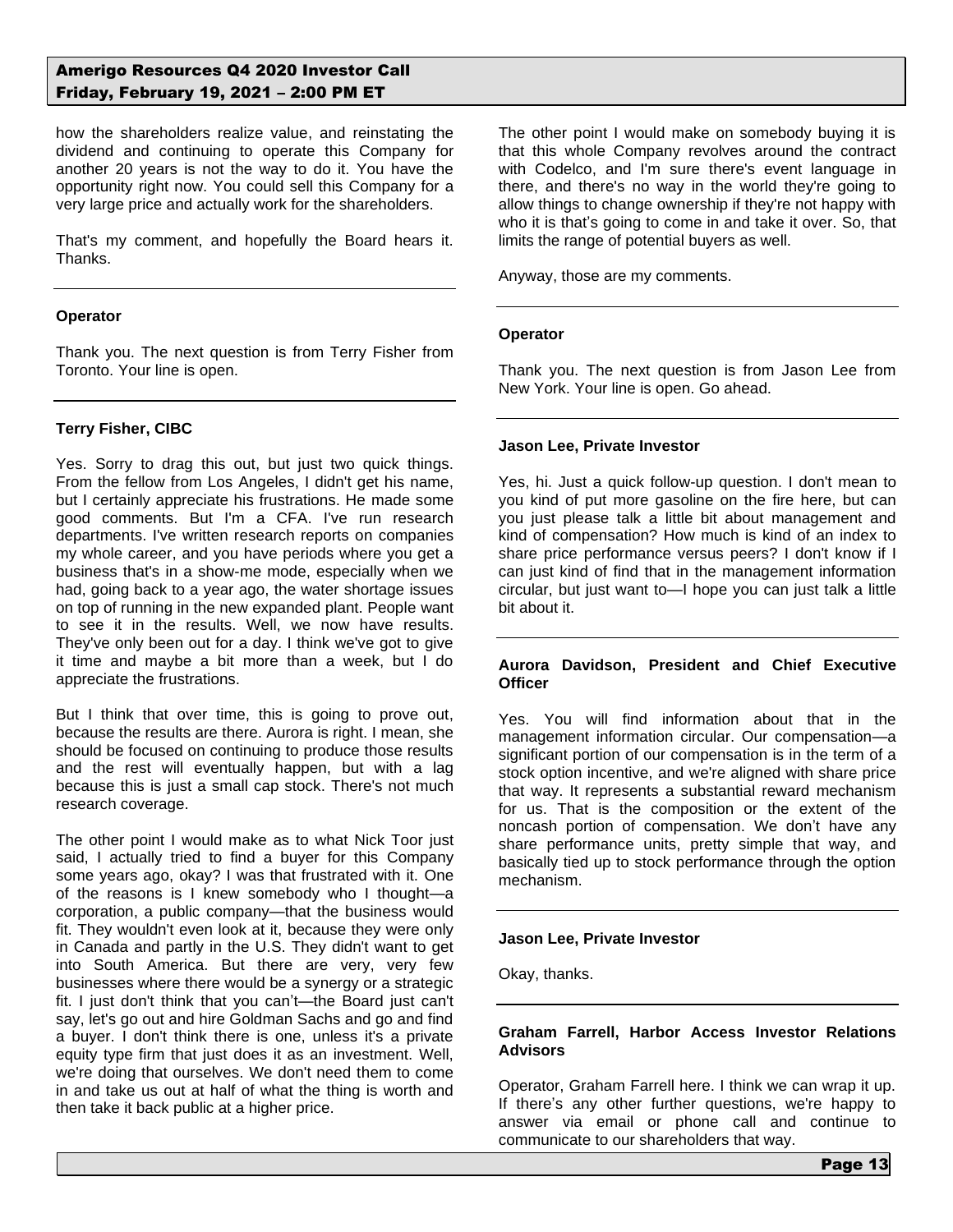how the shareholders realize value, and reinstating the dividend and continuing to operate this Company for another 20 years is not the way to do it. You have the opportunity right now. You could sell this Company for a very large price and actually work for the shareholders.

That's my comment, and hopefully the Board hears it. Thanks.

### **Operator**

Thank you. The next question is from Terry Fisher from Toronto. Your line is open.

## **Terry Fisher, CIBC**

Yes. Sorry to drag this out, but just two quick things. From the fellow from Los Angeles, I didn't get his name, but I certainly appreciate his frustrations. He made some good comments. But I'm a CFA. I've run research departments. I've written research reports on companies my whole career, and you have periods where you get a business that's in a show-me mode, especially when we had, going back to a year ago, the water shortage issues on top of running in the new expanded plant. People want to see it in the results. Well, we now have results. They've only been out for a day. I think we've got to give it time and maybe a bit more than a week, but I do appreciate the frustrations.

But I think that over time, this is going to prove out, because the results are there. Aurora is right. I mean, she should be focused on continuing to produce those results and the rest will eventually happen, but with a lag because this is just a small cap stock. There's not much research coverage.

The other point I would make as to what Nick Toor just said, I actually tried to find a buyer for this Company some years ago, okay? I was that frustrated with it. One of the reasons is I knew somebody who I thought—a corporation, a public company—that the business would fit. They wouldn't even look at it, because they were only in Canada and partly in the U.S. They didn't want to get into South America. But there are very, very few businesses where there would be a synergy or a strategic fit. I just don't think that you can't—the Board just can't say, let's go out and hire Goldman Sachs and go and find a buyer. I don't think there is one, unless it's a private equity type firm that just does it as an investment. Well, we're doing that ourselves. We don't need them to come in and take us out at half of what the thing is worth and then take it back public at a higher price.

The other point I would make on somebody buying it is that this whole Company revolves around the contract with Codelco, and I'm sure there's event language in there, and there's no way in the world they're going to allow things to change ownership if they're not happy with who it is that's going to come in and take it over. So, that limits the range of potential buyers as well.

Anyway, those are my comments.

### **Operator**

Thank you. The next question is from Jason Lee from New York. Your line is open. Go ahead.

#### **Jason Lee, Private Investor**

Yes, hi. Just a quick follow-up question. I don't mean to you kind of put more gasoline on the fire here, but can you just please talk a little bit about management and kind of compensation? How much is kind of an index to share price performance versus peers? I don't know if I can just kind of find that in the management information circular, but just want to—I hope you can just talk a little bit about it.

#### **Aurora Davidson, President and Chief Executive Officer**

Yes. You will find information about that in the management information circular. Our compensation—a significant portion of our compensation is in the term of a stock option incentive, and we're aligned with share price that way. It represents a substantial reward mechanism for us. That is the composition or the extent of the noncash portion of compensation. We don't have any share performance units, pretty simple that way, and basically tied up to stock performance through the option mechanism.

#### **Jason Lee, Private Investor**

Okay, thanks.

### **Graham Farrell, Harbor Access Investor Relations Advisors**

Operator, Graham Farrell here. I think we can wrap it up. If there's any other further questions, we're happy to answer via email or phone call and continue to communicate to our shareholders that way.